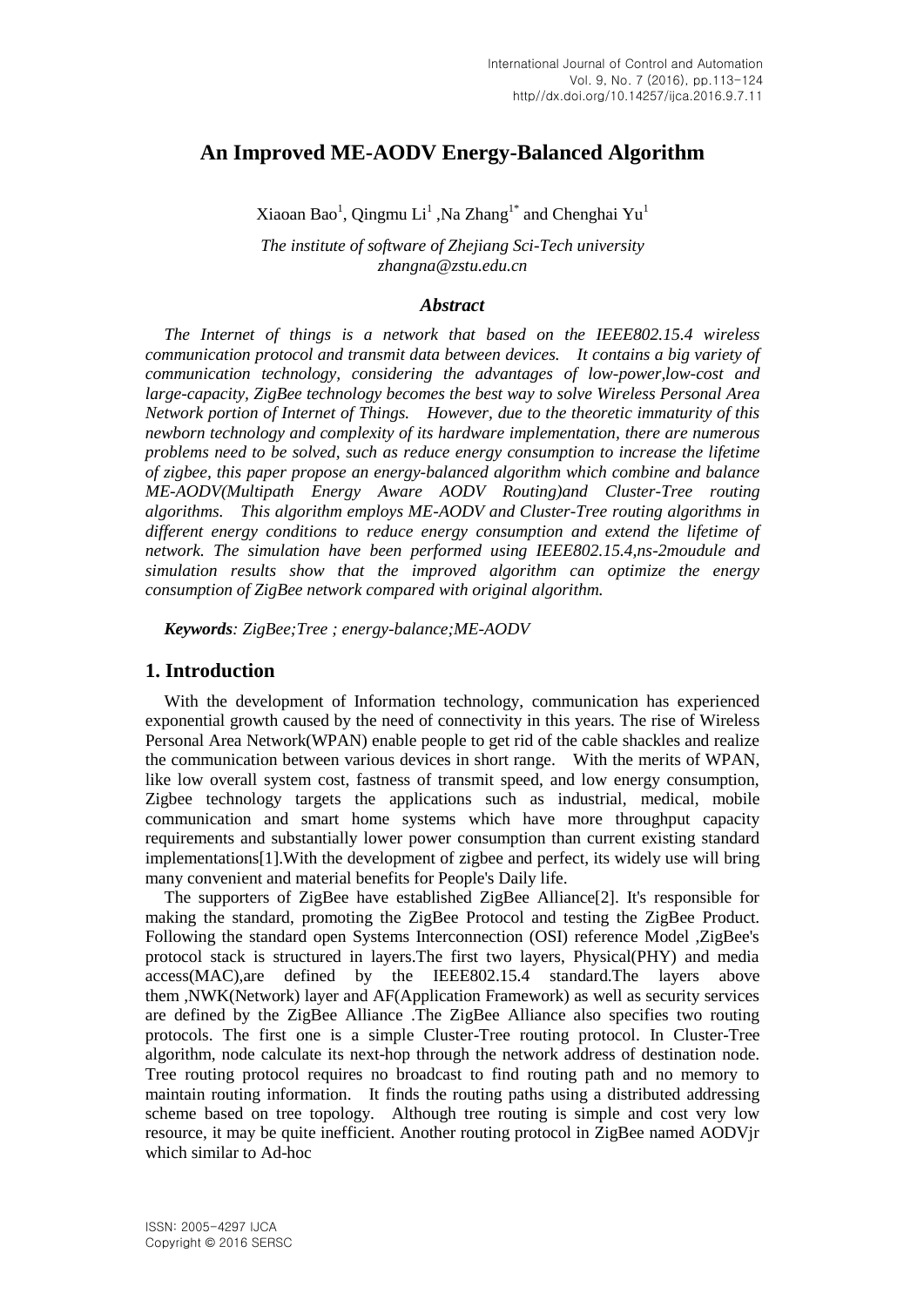# **An Improved ME-AODV Energy-Balanced Algorithm**

Xiaoan Bao<sup>1</sup>, Qingmu Li<sup>1</sup> ,Na Zhang<sup>1\*</sup> and Chenghai Yu<sup>1</sup>

*The institute of software of Zhejiang Sci-Tech university zhangna@zstu.edu.cn*

#### *Abstract*

*The Internet of things is a network that based on the IEEE802.15.4 wireless communication protocol and transmit data between devices. It contains a big variety of communication technology, considering the advantages of low-power,low-cost and large-capacity, ZigBee technology becomes the best way to solve Wireless Personal Area Network portion of Internet of Things. However, due to the theoretic immaturity of this newborn technology and complexity of its hardware implementation, there are numerous problems need to be solved, such as reduce energy consumption to increase the lifetime of zigbee, this paper propose an energy-balanced algorithm which combine and balance ME-AODV(Multipath Energy Aware AODV Routing)and Cluster-Tree routing algorithms. This algorithm employs ME-AODV and Cluster-Tree routing algorithms in different energy conditions to reduce energy consumption and extend the lifetime of network. The simulation have been performed using IEEE802.15.4,ns-2moudule and simulation results show that the improved algorithm can optimize the energy consumption of ZigBee network compared with original algorithm.*

*Keywords: ZigBee;Tree ; energy-balance;ME-AODV*

#### **1. Introduction**

With the development of Information technology, communication has experienced exponential growth caused by the need of connectivity in this years. The rise of Wireless Personal Area Network(WPAN) enable people to get rid of the cable shackles and realize the communication between various devices in short range. With the merits of WPAN, like low overall system cost, fastness of transmit speed, and low energy consumption, Zigbee technology targets the applications such as industrial, medical, mobile communication and smart home systems which have more throughput capacity requirements and substantially lower power consumption than current existing standard implementations[1].With the development of zigbee and perfect, its widely use will bring many convenient and material benefits for People's Daily life.

The supporters of ZigBee have established ZigBee Alliance[2]. It's responsible for making the standard, promoting the ZigBee Protocol and testing the ZigBee Product. Following the standard open Systems Interconnection (OSI) reference Model ,ZigBee's protocol stack is structured in layers.The first two layers, Physical(PHY) and media access(MAC),are defined by the IEEE802.15.4 standard.The layers above them ,NWK(Network) layer and AF(Application Framework) as well as security services are defined by the ZigBee Alliance .The ZigBee Alliance also specifies two routing protocols. The first one is a simple Cluster-Tree routing protocol. In Cluster-Tree [algorithm,](file:///C:/Users/MU/AppData/Local/Yodao/DeskDict/frame/20150608153021/javascript:void(0);) node [calculate](file:///C:/Users/MU/AppData/Local/Yodao/DeskDict/frame/20150608153021/javascript:void(0);) its next-hop through the network address of destination node. Tree routing protocol requires no broadcast to find routing path and no memory to maintain routing information. It finds the routing paths using a distributed addressing scheme based on tree topology. Although tree routing is simple and cost very low resource, it may be quite inefficient. Another routing protocol in ZigBee named AODVjr which similar to Ad-hoc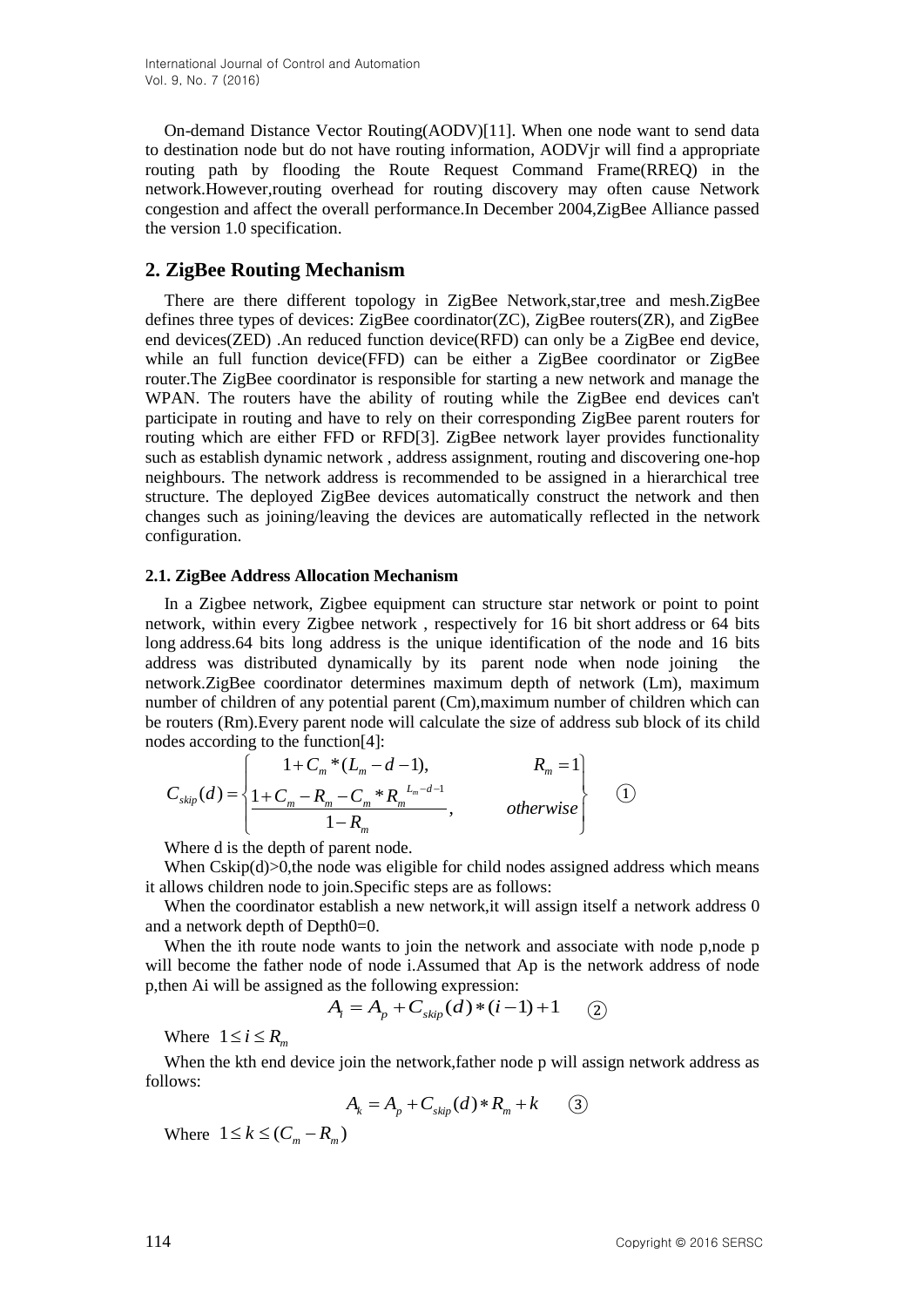On-demand Distance Vector Routing(AODV)[11]. When one node want to send data to destination node but do not have routing information, AODVjr will find a [appropriate](file:///C:/Users/MU/AppData/Local/Yodao/DeskDict/frame/20150608153021/javascript:void(0);) routing path by flooding the Route Request Command Frame(RREQ) in the network.However,routing overhead for routing discovery may often cause Network congestion and affect the overall performance.In December 2004,ZigBee Alliance passed the version 1.0 specification.

## **2. ZigBee Routing Mechanism**

There are there different topology in ZigBee Network,star,tree and mesh.ZigBee defines three types of devices: ZigBee coordinator(ZC), ZigBee routers(ZR), and ZigBee end devices(ZED) .An reduced function device(RFD) can only be a ZigBee end device, while an full function device(FFD) can be either a ZigBee coordinator or ZigBee router.The ZigBee coordinator is responsible for starting a new network and manage the WPAN. The routers have the ability of routing while the ZigBee end devices can't participate in routing and have to rely on their corresponding ZigBee parent routers for routing which are either FFD or RFD[3]. ZigBee network layer provides functionality such as [establish](file:///C:/Users/MU/AppData/Local/Yodao/DeskDict/frame/20150608153021/javascript:void(0);) dynamic network , address assignment, routing and discovering one-hop neighbours. The network address is recommended to be assigned in a hierarchical tree structure. The deployed ZigBee devices automatically construct the network and then changes such as joining/leaving the devices are automatically reflected in the network configuration.

#### **2.1. ZigBee Address Allocation Mechanism**

In a Zigbee network, Zigbee equipment can structure star network or point to point network, within every Zigbee network , respectively for 16 bit short address or 64 bits long address.64 bits long address is the [unique identification](file:///C:/Users/MU/AppData/Local/Yodao/DeskDict/frame/20150608153021/javascript:void(0);) of the node and 16 bits address was distributed dynamically by its parent node when node joining the network.ZigBee coordinator determines maximum depth of network (Lm), maximum number of children of any potential parent (Cm),maximum number of children which can be routers (Rm).Every parent node will calculate the size of address sub block of its child nodes according to the function[4]:

$$
C_{skip}(d) = \left\{ \begin{aligned} 1 + C_m * (L_m - d - 1), & R_m = 1 \\ 1 + C_m - R_m - C_m * R_m^{L_m - d - 1} \\ 1 - R_m & , \end{aligned} \right. \qquad \text{otherwise} \qquad \qquad (1)
$$

Where d is the depth of parent node.

When  $Cskip(d) > 0$ , the node was eligible for child nodes assigned address which means it allows children node to join.Specific steps are as follows:

When the coordinator establish a new network, it will assign itself a network address 0 and a network depth of Depth0=0.

When the ith route node wants to join the network and associate with node p,node p will become the father node of node i.Assumed that Ap is the network address of node p,then Ai will be assigned as the following expression:

$$
A_i = A_p + C_{skip}(d) * (i-1) + 1 \quad (2)
$$

Where  $1 \le i \le R_m$ 

When the kth end device join the network, father node p will assign network address as follows:

$$
A_k = A_p + C_{skip}(d) * R_m + k \tag{3}
$$

Where  $1 \leq k \leq (C_m - R_m)$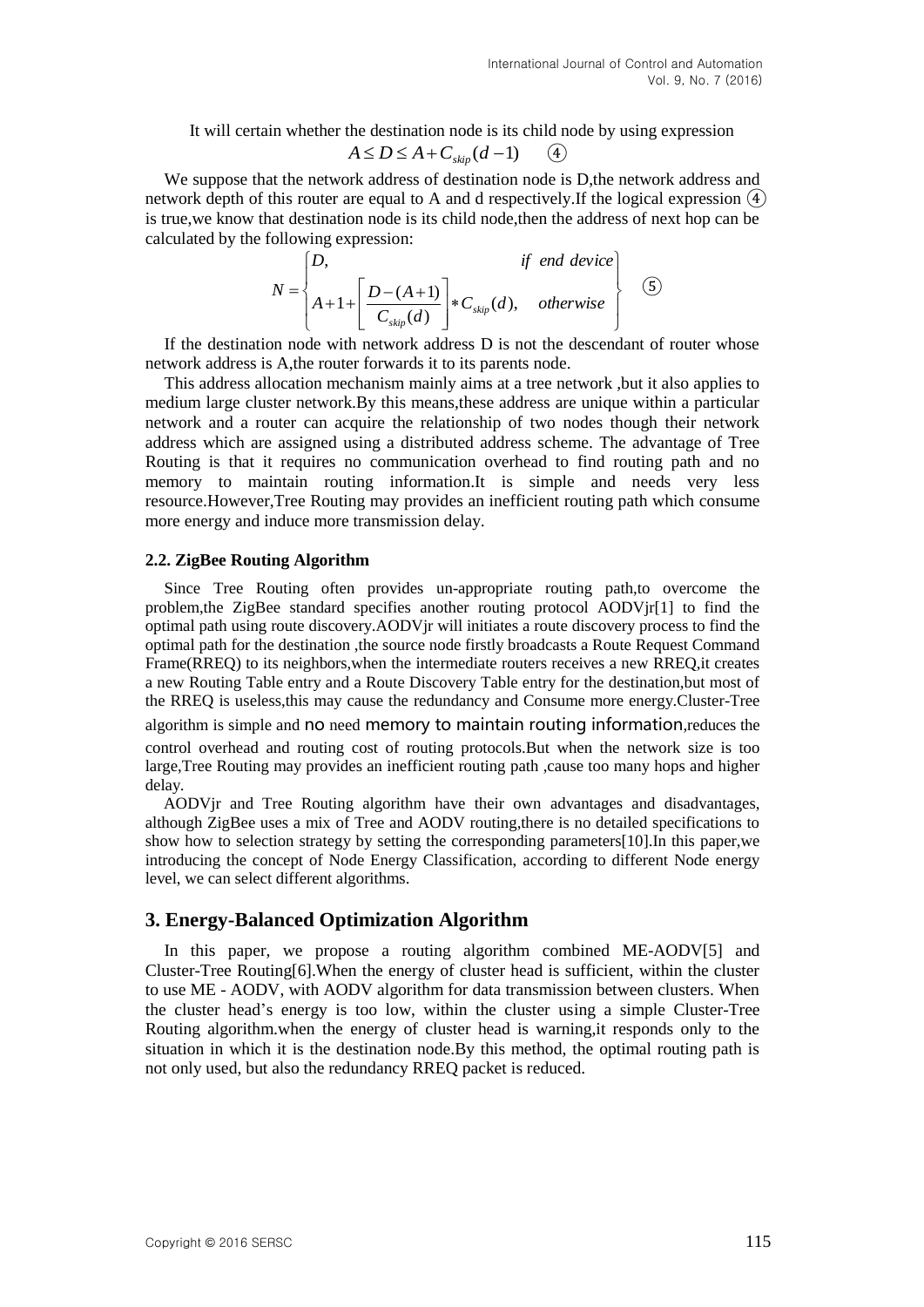It will certain whether the destination node is its child node by using expression

$$
A \le D \le A + C_{skip}(d-1) \qquad (4)
$$

We suppose that the network address of destination node is D,the network address and network depth of this router are equal to A and d respectively.If the logical expression  $\overline{4}$ is true,we know that destination node is its child node,then the address of next hop can be calculated by the following expression:

$$
N = \begin{cases} D, & \text{if end device} \\ A+1 + \left[ \frac{D - (A+1)}{C_{\text{skip}}(d)} \right] * C_{\text{skip}}(d), & \text{otherwise} \end{cases}
$$
 (5)

If the destination node with network address D is not the descendant of router whose network address is A,the router forwards it to its parents node.

This address allocation mechanism mainly aims at a tree network ,but it also applies to medium large cluster network.By this means,these address are unique within a particular network and a router can acquire the relationship of two nodes though their network address which are assigned using a distributed address scheme. The advantage of Tree Routing is that it requires no communication overhead to find routing path and no memory to maintain routing information.It is simple and needs very less resource.However,Tree Routing may provides an inefficient routing path which [consume](file:///C:/Users/MU/AppData/Local/Yodao/DeskDict/frame/20150608153021/javascript:void(0);) more energy and induce more transmission delay.

#### **2.2. ZigBee Routing Algorithm**

Since Tree Routing often provides un-appropriate routing path,to overcome the problem,the ZigBee standard specifies another routing protocol AODVjr[1] to find the optimal path using route discovery.AODVjr will initiates a route discovery process to find the optimal path for the destination ,the source node firstly broadcasts a Route Request Command Frame(RREQ) to its neighbors,when the intermediate routers receives a new RREQ,it creates a new Routing Table entry and a Route Discovery Table entry for the destination,but most of the RREQ is useless,this may cause the redundancy and Consume more energy.Cluster-Tree [algorithm](file:///C:/Users/MU/AppData/Local/Yodao/DeskDict/frame/20150608153021/javascript:void(0);) is simple and no need memory to maintain routing information,reduces the control overhead and routing cost of routing protocols.But when the network size is too large,Tree Routing may provides an inefficient routing path ,cause too many hops and higher delay.

AODVjr and Tree Routing [algorithm](file:///C:/Users/MU/AppData/Local/Yodao/DeskDict/frame/20150608153021/javascript:void(0);) have their own advantages and disadvantages, although ZigBee uses a mix of Tree and AODV routing,there is no detailed specifications to show how to selection strategy by setting the corresponding parameters[10].In this paper,we introducing the concept of Node Energy Classification, according to different Node energy level, we can select different algorithms.

### **3. Energy-Balanced Optimization Algorithm**

In this paper, we propose a routing algorithm combined ME-AODV[5] and Cluster-Tree Routing[6].When the energy of cluster head is sufficient, within the cluster to use ME - AODV, with AODV algorithm for data transmission between clusters. When the cluster head's energy is too low, within the cluster using a simple Cluster-Tree Routing algorithm.when the energy of cluster head is warning,it responds only to the situation in which it is the destination node.By this method, the optimal routing path is not only used, but also the redundancy RREQ packet is reduced.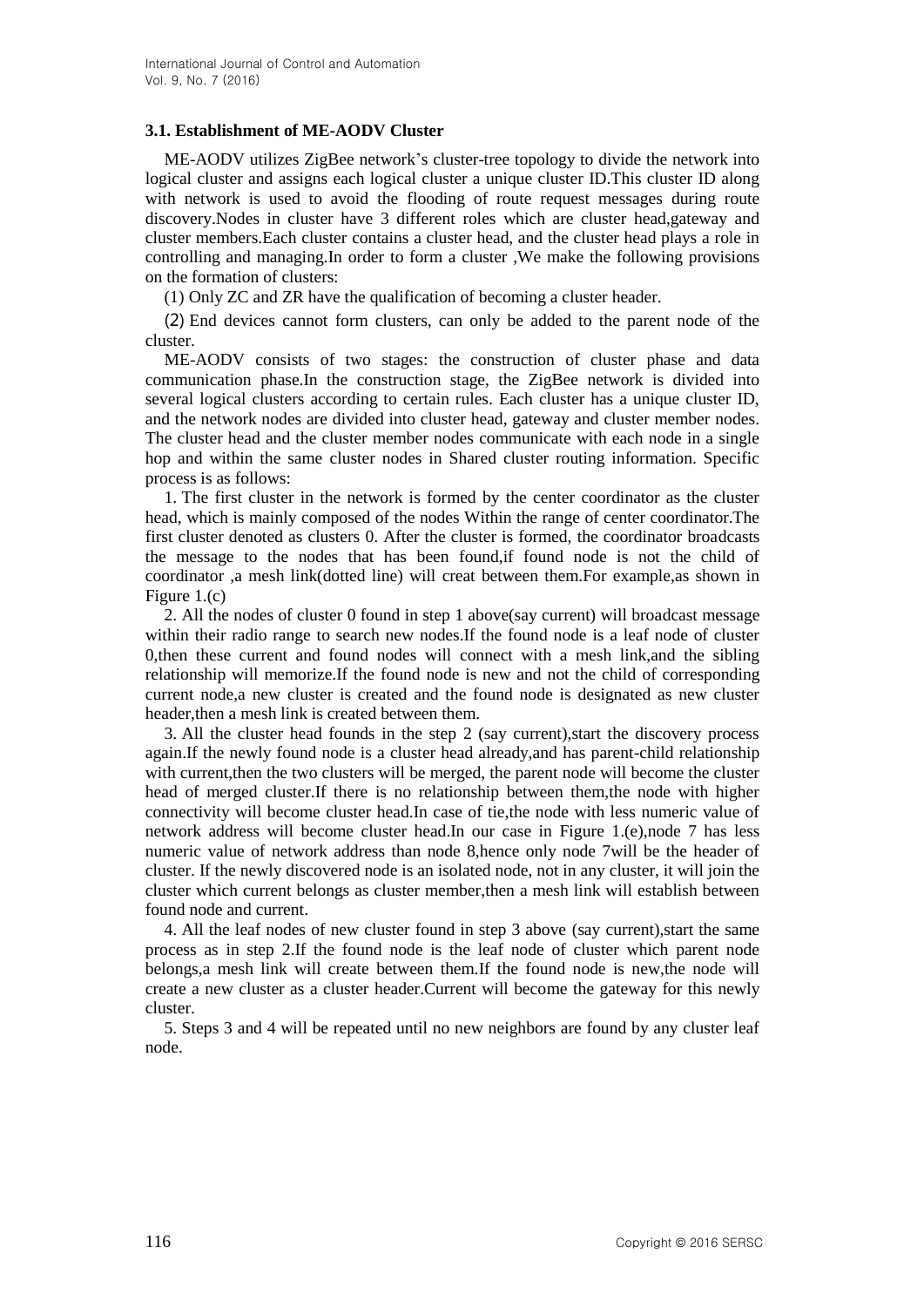#### **3.1. Establishment of ME-AODV Cluster**

ME-AODV utilizes ZigBee network's cluster-tree topology to divide the network into logical cluster and assigns each logical cluster a unique cluster ID.This cluster ID along with network is used to avoid the flooding of route request messages during route discovery.Nodes in cluster have 3 different roles which are cluster head,gateway and cluster members.Each cluster contains a cluster head, and the cluster head plays a role in controlling and managing.In order to form a cluster ,We make the following provisions on the formation of clusters:

(1) Only ZC and ZR have the qualification of becoming a cluster header.

(2) End devices cannot form clusters, can only be added to the parent node of the cluster.

ME-AODV consists of two stages: the construction of cluster phase and data communication phase.In the construction stage, the ZigBee network is divided into several logical clusters according to certain rules. Each cluster has a unique cluster ID, and the network nodes are divided into cluster head, gateway and cluster member nodes. The cluster head and the cluster member nodes communicate with each node in a single hop and within the same cluster nodes in Shared cluster routing information. Specific process is as follows:

1. The first cluster in the network is formed by the center coordinator as the cluster head, which is mainly composed of the nodes Within the range of center coordinator.The first cluster denoted as clusters 0. After the cluster is formed, the coordinator broadcasts the message to the nodes that has been found,if found node is not the child of coordinator ,a mesh link(dotted line) will creat between them.For example,as shown in Figure 1.(c)

2. All the nodes of cluster 0 found in step 1 above(say current) will broadcast message within their radio range to search new nodes.If the found node is a leaf node of cluster 0,then these current and found nodes will connect with a mesh link,and the sibling relationship will memorize.If the found node is new and not the child of corresponding current node,a new cluster is created and the found node is designated as new cluster header,then a mesh link is created between them.

3. All the cluster head founds in the step 2 (say current),start the discovery process again.If the newly found node is a cluster head already,and has parent-child relationship with current, then the two clusters will be merged, the parent node will become the cluster head of merged cluster.If there is no relationship between them,the node with higher connectivity will become cluster head.In case of tie,the node with less numeric value of network address will become cluster head.In our case in Figure 1.(e),node 7 has less numeric value of network address than node 8,hence only node 7will be the header of cluster. If the newly discovered node is an isolated node, not in any cluster, it will join the cluster which current belongs as cluster member,then a mesh link will establish between found node and current.

4. All the leaf nodes of new cluster found in step 3 above (say current),start the same process as in step 2.If the found node is the leaf node of cluster which parent node belongs,a mesh link will create between them.If the found node is new,the node will create a new cluster as a cluster header.Current will become the gateway for this newly cluster.

5. Steps 3 and 4 will be repeated until no new neighbors are found by any cluster leaf node.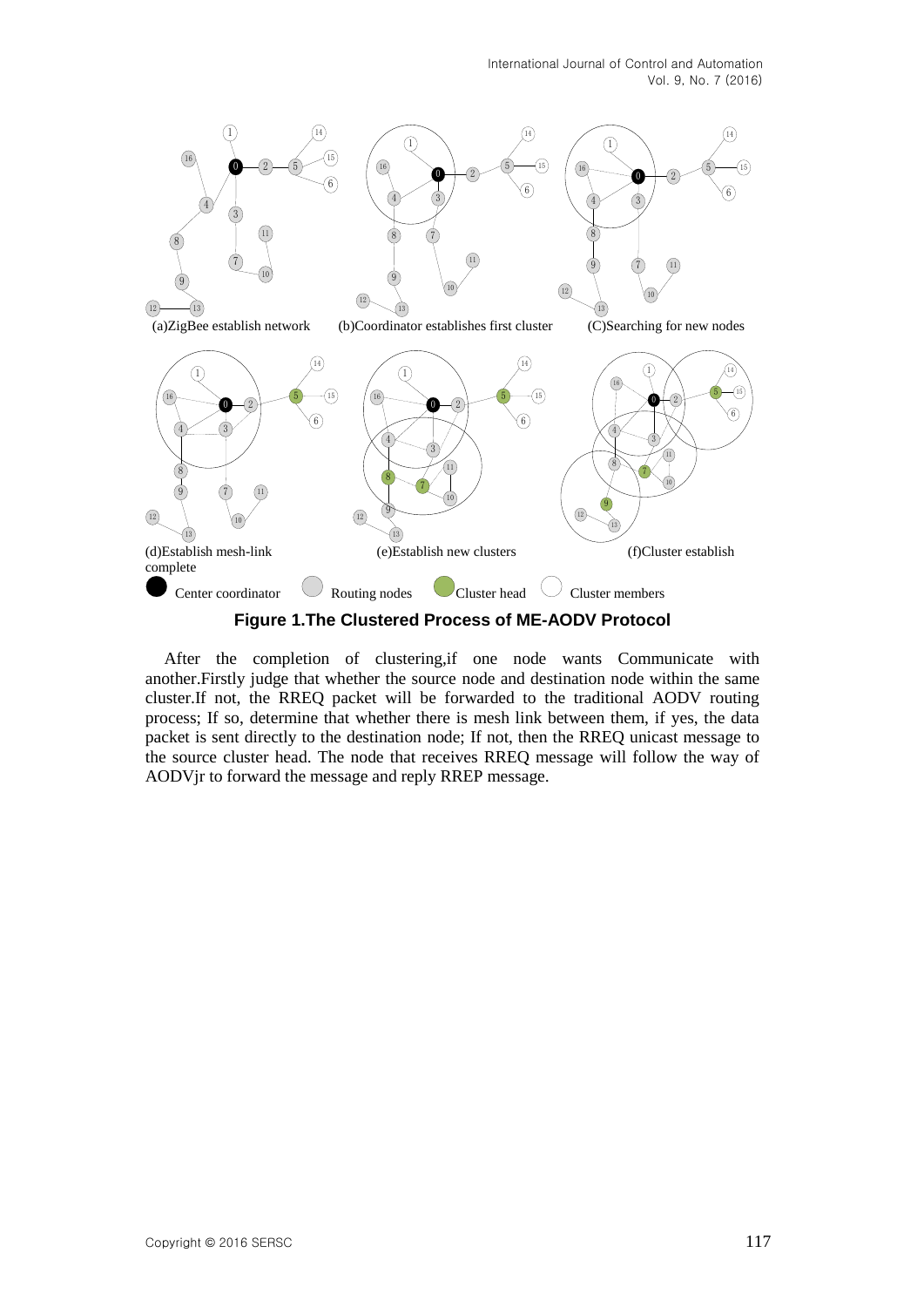

After the completion of clustering,if one node wants Communicate with another.Firstly judge that whether the source node and destination node within the same cluster.If not, the RREQ packet will be forwarded to the traditional AODV routing process; If so, determine that whether there is mesh link between them, if yes, the data packet is sent directly to the destination node; If not, then the RREQ unicast message to the source cluster head. The node that receives RREQ message will follow the way of AODVjr to forward the message and reply RREP message.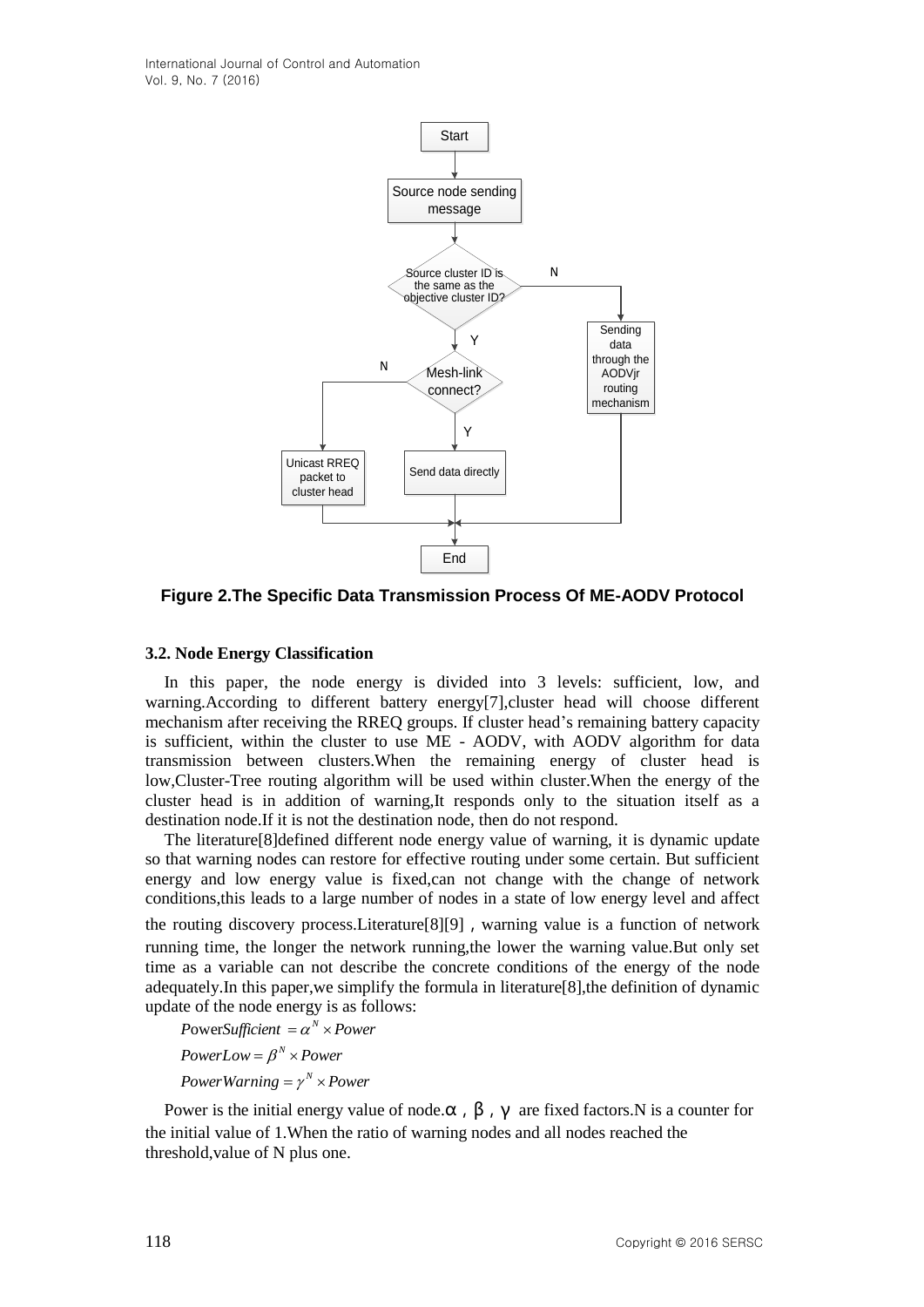International Journal of Control and Automation Vol. 9, No. 7 (2016)



**Figure 2.The Specific Data Transmission Process Of ME-AODV Protocol**

#### **3.2. Node Energy Classification**

In this paper, the node energy is divided into 3 levels: sufficient, low, and warning.According to different battery energy[7],cluster head will choose different mechanism after receiving the RREQ groups. If cluster head's remaining battery capacity is sufficient, within the cluster to use ME - AODV, with AODV algorithm for data transmission between clusters.When the remaining energy of cluster head is low,Cluster-Tree routing algorithm will be used within cluster.When the energy of the cluster head is in addition of warning,It responds only to the situation itself as a destination node.If it is not the destination node, then do not respond.

The literature[8]defined different node energy value of warning, it is dynamic update so that warning nodes can restore for effective routing under some certain. But sufficient energy and low energy value is fixed,can not change with the change of network conditions,this leads to a large number of nodes in a state of low energy level and affect the routing discovery process.Literature[8][9],warning value is a function of network running time, the longer the network running,the lower the warning value.But only set time as a variable can not describe the concrete conditions of the energy of the node adequately.In this paper,we simplify the formula in literature[8],the definition of dynamic update of the node energy is as follows:

*PowerWarning* =  $\gamma^N$   $\times$  *Power PowerLow* =  $\beta^N$  × *Power PowerSufficient*  $= \alpha^N \times Power$ 

Power is the initial energy value of node. $\alpha$ ,  $\beta$ ,  $\gamma$  are fixed factors.N is a counter for the initial value of 1.When the ratio of warning nodes and all nodes reached the threshold,value of N plus one.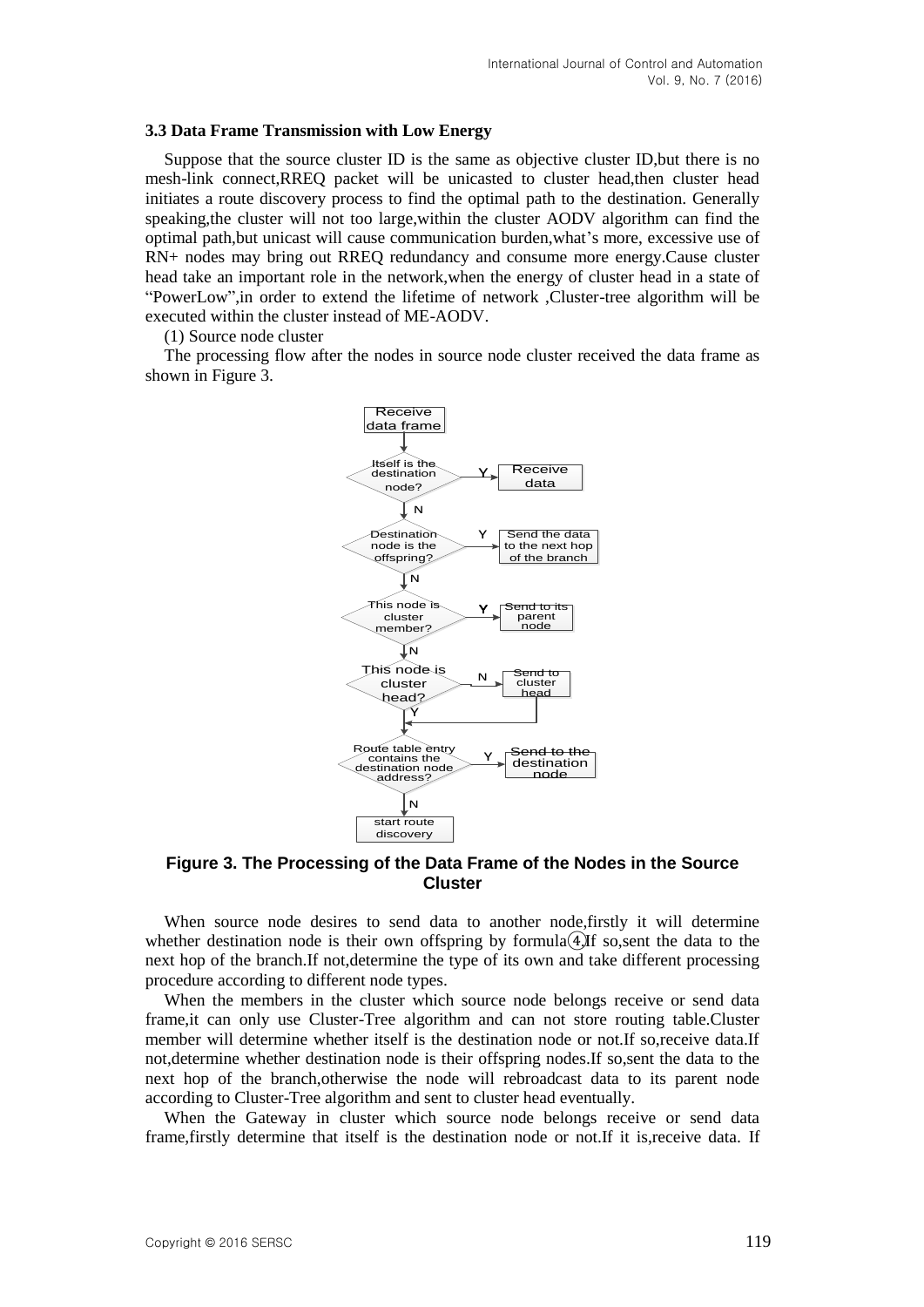#### **3.3 Data Frame Transmission with Low Energy**

Suppose that the source cluster ID is the same as objective cluster ID,but there is no mesh-link connect,RREQ packet will be unicasted to cluster head,then cluster head initiates a route discovery process to find the optimal path to the destination. Generally speaking,the cluster will not too large,within the cluster AODV algorithm can find the optimal path,but unicast will cause communication burden,what's more, excessive use of RN+ nodes may bring out RREQ redundancy and consume more energy.Cause cluster head take an important role in the network,when the energy of cluster head in a state of "PowerLow",in order to extend the lifetime of network ,Cluster-tree algorithm will be executed within the cluster instead of ME-AODV.

(1) Source node cluster

The processing flow after the nodes in source node cluster received the data frame as shown in Figure 3.



**Figure 3. The Processing of the Data Frame of the Nodes in the Source Cluster**

When source node desires to send data to another node,firstly it will determine whether destination node is their own offspring by formula⊕.If so, sent the data to the next hop of the branch.If not,determine the type of its own and take different processing procedure according to different node types.

When the members in the cluster which source node belongs receive or send data frame,it can only use Cluster-Tree algorithm and can not store routing table.Cluster member will determine whether itself is the destination node or not.If so,receive data.If not,determine whether destination node is their offspring nodes.If so,sent the data to the next hop of the branch,otherwise the node will rebroadcast data to its parent node according to Cluster-Tree algorithm and sent to cluster head eventually.

When the Gateway in cluster which source node belongs receive or send data frame,firstly determine that itself is the destination node or not.If it is,receive data. If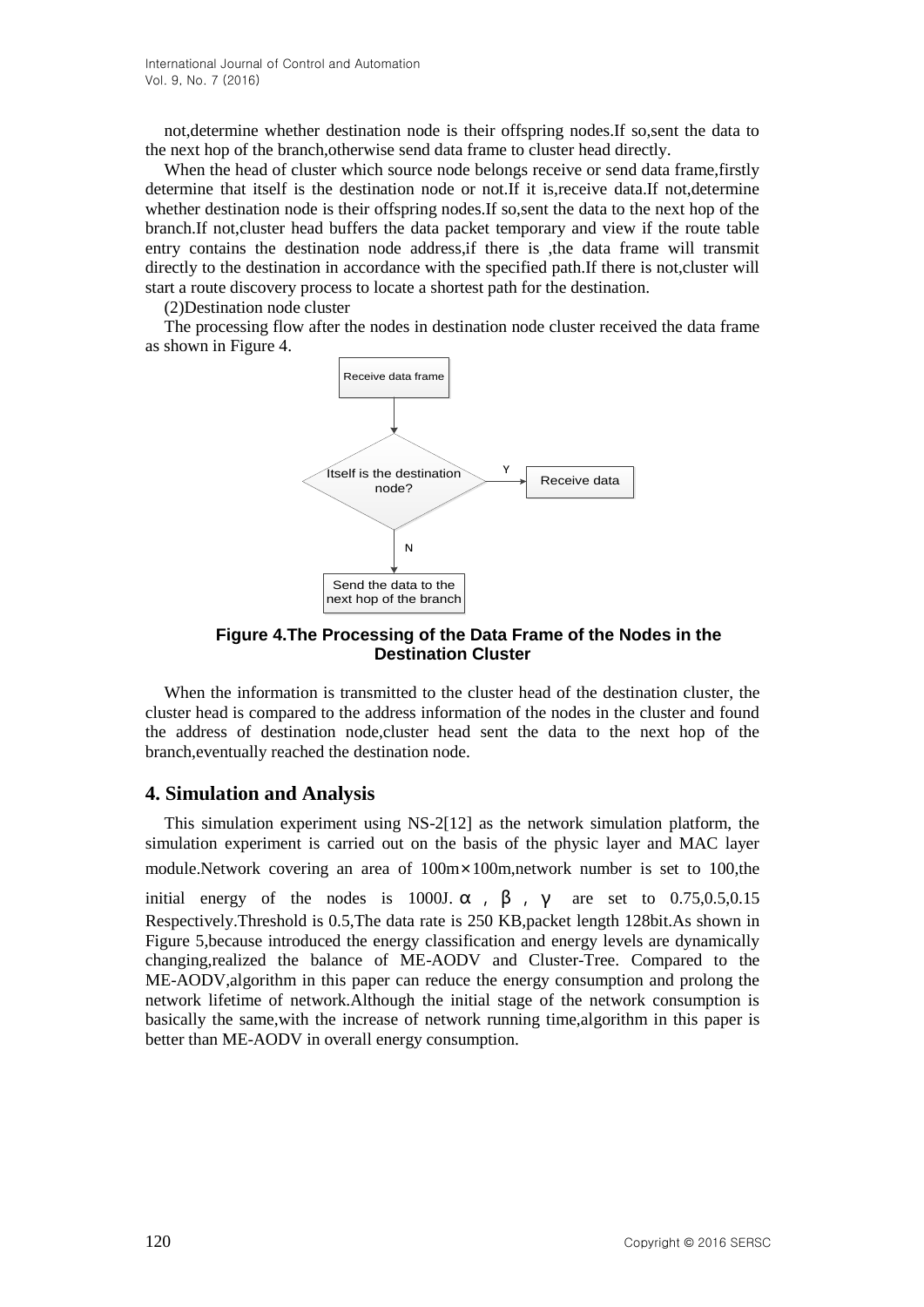not,determine whether destination node is their offspring nodes.If so,sent the data to the next hop of the branch,otherwise send data frame to cluster head directly.

When the head of cluster which source node belongs receive or send data frame, firstly determine that itself is the destination node or not.If it is,receive data.If not,determine whether destination node is their offspring nodes.If so,sent the data to the next hop of the branch.If not,cluster head buffers the data packet temporary and view if the route table entry contains the destination node address,if there is ,the data frame will transmit directly to the destination in accordance with the specified path.If there is not,cluster will start a route discovery process to locate a shortest path for the destination.

(2)Destination node cluster

The processing flow after the nodes in destination node cluster received the data frame as shown in Figure 4.



**Figure 4.The Processing of the Data Frame of the Nodes in the Destination Cluster**

When the information is transmitted to the cluster head of the destination cluster, the cluster head is compared to the address information of the nodes in the cluster and found the address of destination node,cluster head sent the data to the next hop of the branch,eventually reached the destination node.

#### **4. Simulation and Analysis**

This simulation experiment using NS-2[12] as the network simulation platform, the simulation experiment is carried out on the basis of the physic layer and MAC layer module.Network covering an area of 100m×100m,network number is set to 100,the

initial energy of the nodes is 1000J.  $\alpha$ ,  $\beta$ ,  $\gamma$  are set to 0.75,0.5,0.15 Respectively.Threshold is 0.5,The data rate is 250 KB,packet length 128bit.As shown in Figure 5,because introduced the energy classification and energy levels are dynamically changing,realized the balance of ME-AODV and Cluster-Tree. Compared to the ME-AODV,algorithm in this paper can reduce the energy consumption and prolong the network lifetime of network.Although the initial stage of the network consumption is basically the same,with the increase of network running time,algorithm in this paper is better than ME-AODV in overall energy consumption.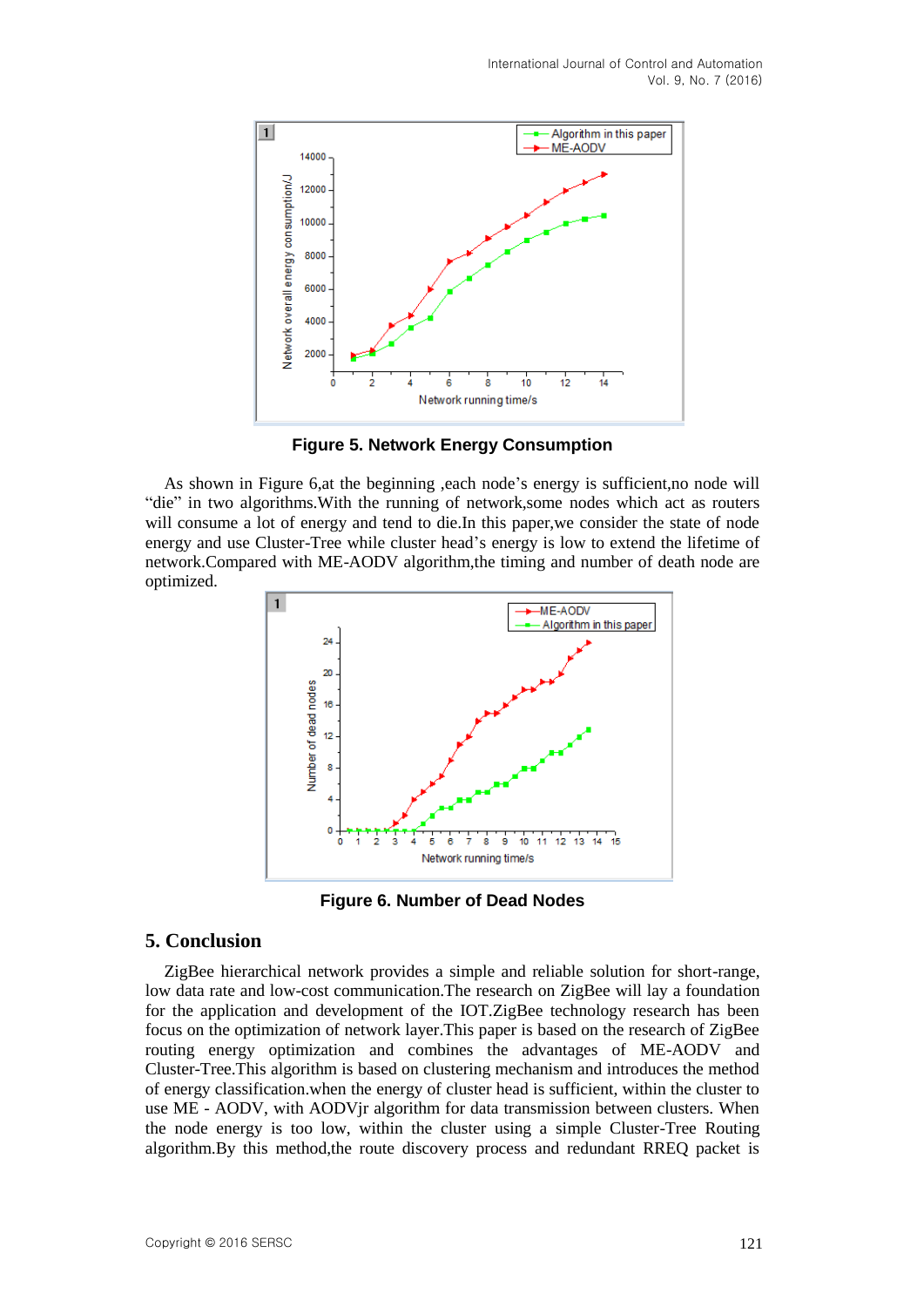

**Figure 5. Network Energy Consumption**

As shown in Figure 6,at the beginning ,each node's energy is sufficient,no node will "die" in two algorithms.With the running of network,some nodes which act as routers will consume a lot of energy and tend to die.In this paper,we consider the state of node energy and use Cluster-Tree while cluster head's energy is low to extend the lifetime of network.Compared with ME-AODV algorithm,the timing and number of death node are optimized.



**Figure 6. Number of Dead Nodes** 

### **5. Conclusion**

ZigBee hierarchical network provides a simple and reliable solution for short-range, low data rate and low-cost communication.The research on ZigBee will lay a foundation for the application and development of the IOT.ZigBee technology research has been focus on the optimization of network layer.This paper is based on the research of ZigBee routing energy optimization and combines the advantages of ME-AODV and Cluster-Tree.This algorithm is based on clustering mechanism and introduces the method of energy classification.when the energy of cluster head is sufficient, within the cluster to use ME - AODV, with AODVjr algorithm for data transmission between clusters. When the node energy is too low, within the cluster using a simple Cluster-Tree Routing algorithm.By this method,the route discovery process and redundant RREQ packet is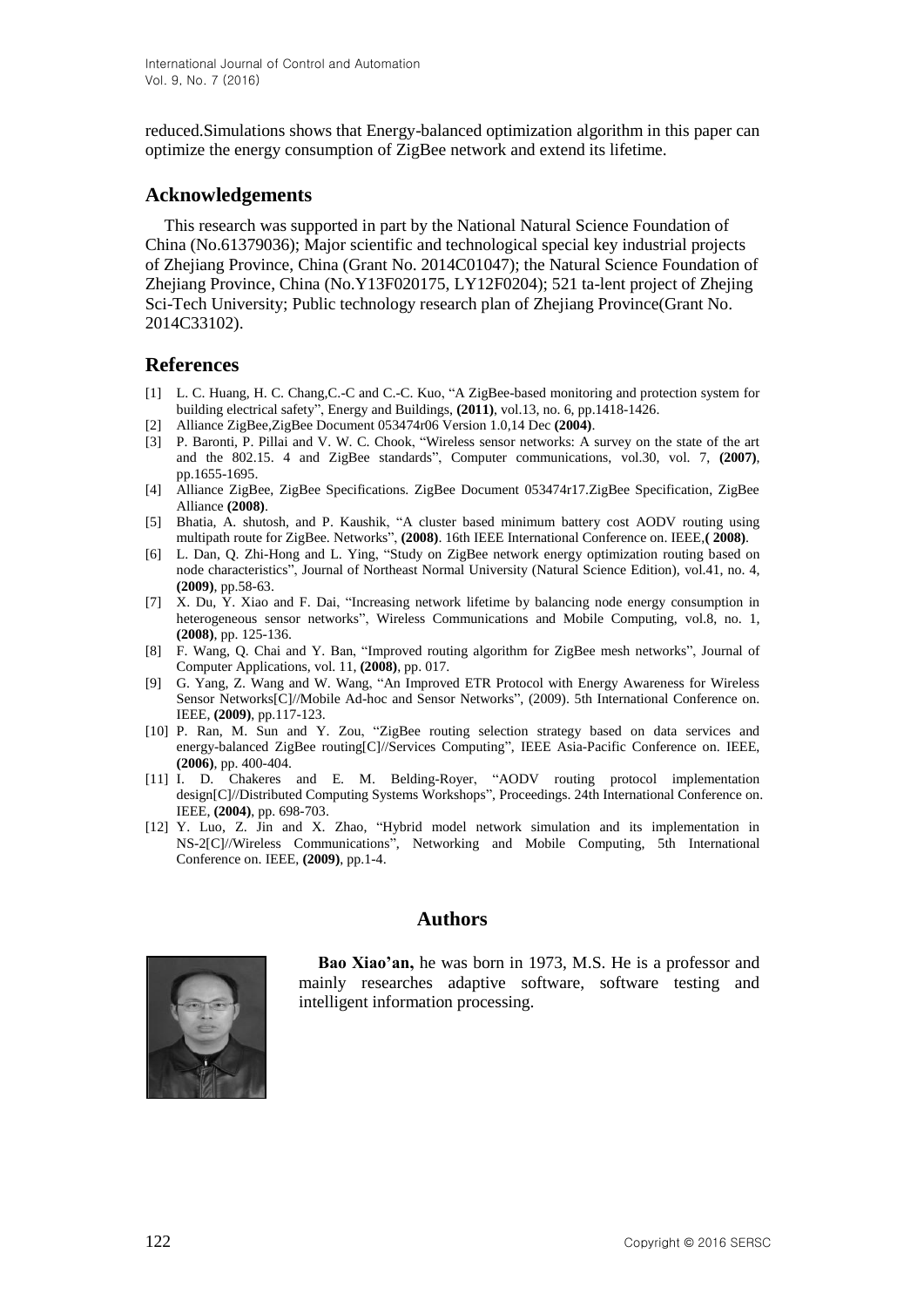reduced.Simulations shows that Energy-balanced optimization algorithm in this paper can optimize the energy consumption of ZigBee network and extend its lifetime.

### **Acknowledgements**

This research was supported in part by the National Natural Science Foundation of China (No.61379036); Major scientific and technological special key industrial projects of Zhejiang Province, China (Grant No. 2014C01047); the Natural Science Foundation of Zhejiang Province, China (No.Y13F020175, LY12F0204); 521 ta-lent project of Zhejing Sci-Tech University; Public technology research plan of Zhejiang Province(Grant No. 2014C33102).

## **References**

- [1] L. C. Huang, H. C. Chang,C.-C and C.-C. Kuo, "A ZigBee-based monitoring and protection system for building electrical safety", Energy and Buildings, **(2011)**, vol.13, no. 6, pp.1418-1426.
- [2] Alliance ZigBee,ZigBee Document 053474r06 Version 1.0,14 Dec **(2004)**.
- [3] P. Baronti, P. Pillai and V. W. C. Chook, "Wireless sensor networks: A survey on the state of the art and the 802.15. 4 and ZigBee standards", Computer communications, vol.30, vol. 7, **(2007)**, pp.1655-1695.
- [4] Alliance ZigBee, ZigBee Specifications. ZigBee Document 053474r17.ZigBee Specification, ZigBee Alliance **(2008)**.
- [5] Bhatia, A. shutosh, and P. Kaushik, "A cluster based minimum battery cost AODV routing using multipath route for ZigBee. Networks", **(2008)**. 16th IEEE International Conference on. IEEE,**( 2008)**.
- [6] L. Dan, Q. Zhi-Hong and L. Ying, "Study on ZigBee network energy optimization routing based on node characteristics", Journal of Northeast Normal University (Natural Science Edition), vol.41, no. 4, **(2009)**, pp.58-63.
- [7] X. Du, Y. Xiao and F. Dai, "Increasing network lifetime by balancing node energy consumption in heterogeneous sensor networks", Wireless Communications and Mobile Computing, vol.8, no. 1, **(2008)**, pp. 125-136.
- [8] F. Wang, Q. Chai and Y. Ban, "Improved routing algorithm for ZigBee mesh networks", Journal of Computer Applications, vol. 11, **(2008)**, pp. 017.
- [9] G. Yang, Z. Wang and W. Wang, "An Improved ETR Protocol with Energy Awareness for Wireless Sensor Networks[C]//Mobile Ad-hoc and Sensor Networks", (2009). 5th International Conference on. IEEE, **(2009)**, pp.117-123.
- [10] P. Ran, M. Sun and Y. Zou, "ZigBee routing selection strategy based on data services and energy-balanced ZigBee routing[C]//Services Computing", IEEE Asia-Pacific Conference on. IEEE, **(2006)**, pp. 400-404.
- [11] I. D. Chakeres and E. M. Belding-Royer, "AODV routing protocol implementation design[C]//Distributed Computing Systems Workshops", Proceedings. 24th International Conference on. IEEE, **(2004)**, pp. 698-703.
- [12] Y. Luo, Z. Jin and X. Zhao, "Hybrid model network simulation and its implementation in NS-2[C]//Wireless Communications", Networking and Mobile Computing, 5th International Conference on. IEEE, **(2009)**, pp.1-4.



## **Authors**

**Bao Xiao'an,** he was born in 1973, M.S. He is a professor and mainly researches adaptive software, software testing and intelligent information processing.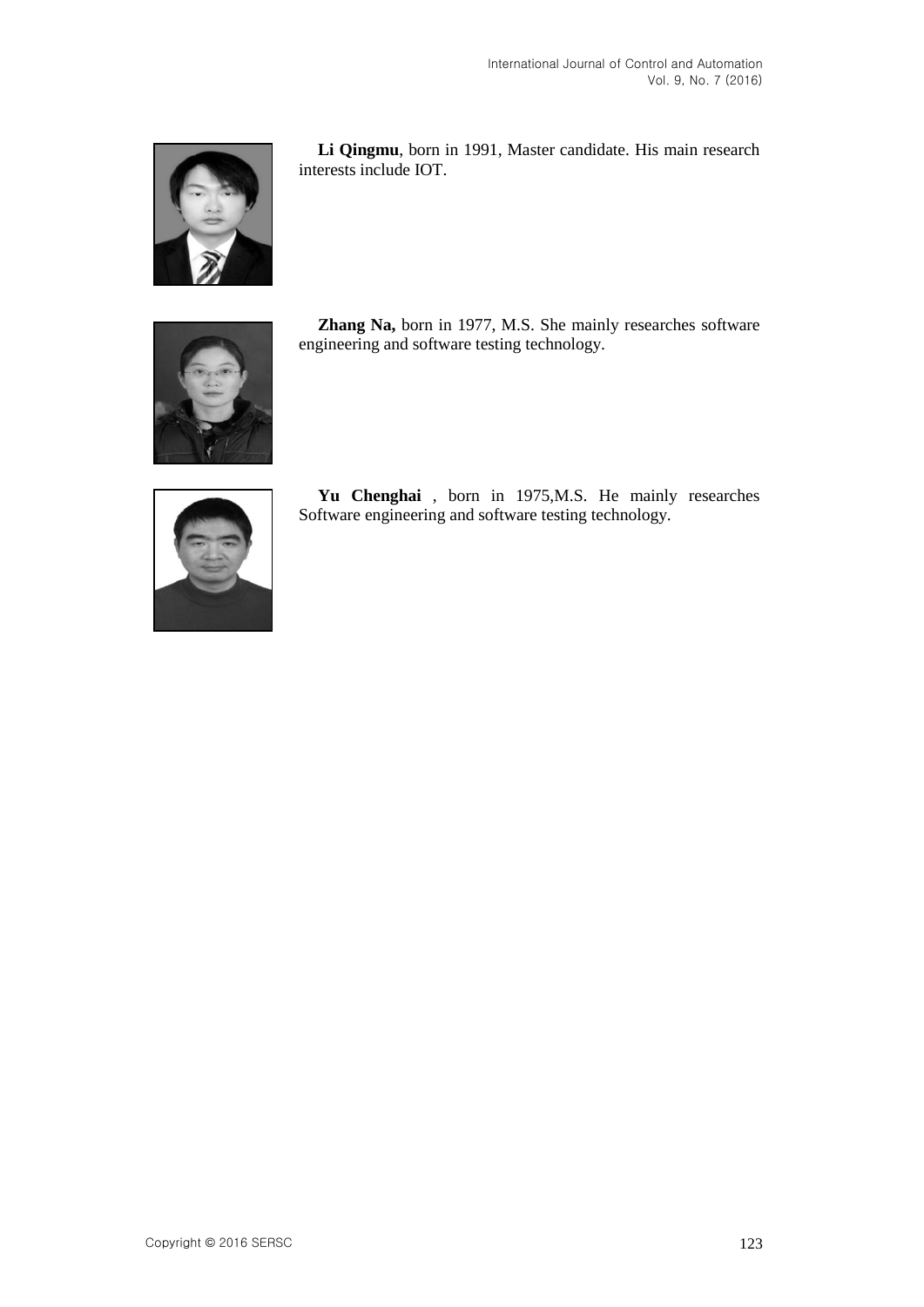

**Li Qingmu**, born in 1991, Master candidate. His main research interests include IOT.



**Zhang Na,** born in 1977, M.S. She mainly researches software engineering and software testing technology.



**Yu Chenghai** , born in 1975,M.S. He mainly researches Software engineering and software testing technology.